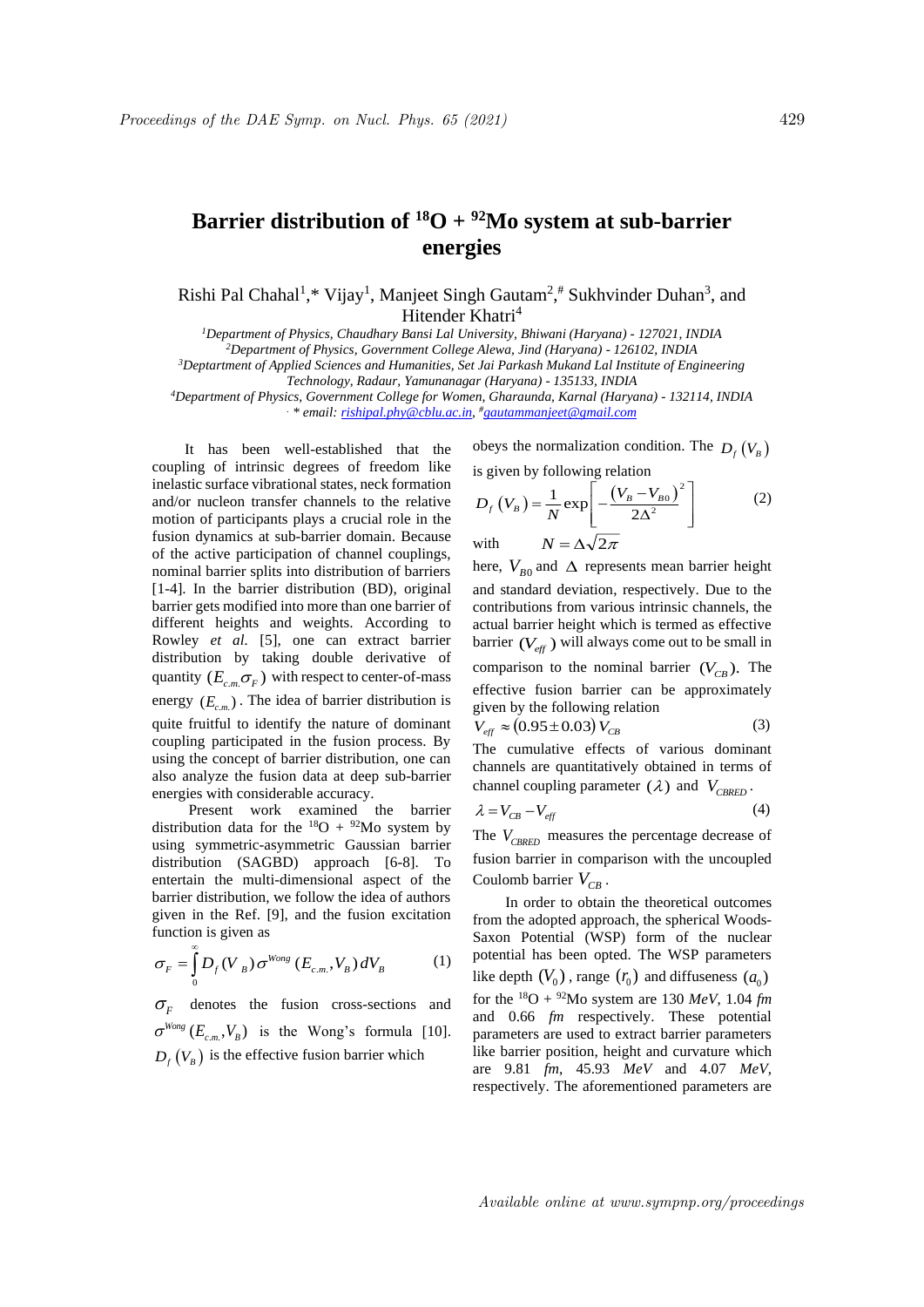## **Barrier distribution of**  ${}^{18}O + {}^{92}Mo$  system at sub-barrier **energies**

Rishi Pal Chahal<sup>1</sup>,\* Vijay<sup>1</sup>, Manjeet Singh Gautam<sup>2</sup>,# Sukhvinder Duhan<sup>3</sup>, and Hitender Khatri<sup>4</sup>

*<sup>1</sup>Department of Physics, Chaudhary Bansi Lal University, Bhiwani (Haryana) - 127021, INDIA*

*<sup>2</sup>Department of Physics, Government College Alewa, Jind (Haryana) - 126102, INDIA*

*<sup>3</sup>Deptartment of Applied Sciences and Humanities, Set Jai Parkash Mukand Lal Institute of Engineering Technology, Radaur, Yamunanagar (Haryana) - 135133, INDIA*

*<sup>4</sup>Department of Physics, Government College for Women, Gharaunda, Karnal (Haryana) - 132114, INDIA . \* email: rishipal.phy@cblu.ac.in, #gautammanjeet@gmail.com* 

It has been well-established that the coupling of intrinsic degrees of freedom like inelastic surface vibrational states, neck formation and/or nucleon transfer channels to the relative motion of participants plays a crucial role in the fusion dynamics at sub-barrier domain. Because of the active participation of channel couplings, nominal barrier splits into distribution of barriers [1-4]. In the barrier distribution (BD), original barrier gets modified into more than one barrier of different heights and weights. According to Rowley *et al.* [5], one can extract barrier distribution by taking double derivative of quantity  $(E_{c.m.}\sigma_F)$  with respect to center-of-mass energy  $(E_{c,m})$ . The idea of barrier distribution is quite fruitful to identify the nature of dominant coupling participated in the fusion process. By using the concept of barrier distribution, one can also analyze the fusion data at deep sub-barrier energies with considerable accuracy.

Present work examined the barrier distribution data for the  $^{18}O + ^{92}Mo$  system by using symmetric-asymmetric Gaussian barrier distribution (SAGBD) approach [6-8]. To entertain the multi-dimensional aspect of the barrier distribution, we follow the idea of authors given in the Ref. [9], and the fusion excitation function is given as

$$
\sigma_F = \int_0^\infty D_f (V_B) \sigma^{Wong} (E_{c.m.}, V_B) dV_B \tag{1}
$$

 $\sigma_F$  denotes the fusion cross-sections and  $\sigma^{Wong}$  ( $E_{c.m.}, V_B$ ) is the Wong's formula [10].  $D_f(V_B)$  is the effective fusion barrier which

obeys the normalization condition. The  $D_f(V_B)$ is given by following relation

$$
D_f(V_B) = \frac{1}{N} \exp\left[-\frac{(V_B - V_{B0})^2}{2\Delta^2}\right]
$$
  
with 
$$
N = \Delta\sqrt{2\pi}
$$
 (2)

here,  $V_{B0}$  and  $\Delta$  represents mean barrier height and standard deviation, respectively. Due to the contributions from various intrinsic channels, the actual barrier height which is termed as effective barrier  $(V_{\text{eff}})$  will always come out to be small in comparison to the nominal barrier  $(V_{CB})$ . The effective fusion barrier can be approximately given by the following relation  $V_{\text{eff}} \approx (0.95 \pm 0.03) V_{\text{CB}}$ (3)

The cumulative effects of various dominant channels are quantitatively obtained in terms of channel coupling parameter  $(\lambda)$  and  $V_{CBRED}$ .

$$
\lambda = V_{CB} - V_{eff} \tag{4}
$$

The  $V_{CBRED}$  measures the percentage decrease of fusion barrier in comparison with the uncoupled Coulomb barrier  $V_{CB}$ .

In order to obtain the theoretical outcomes from the adopted approach, the spherical Woods-Saxon Potential (WSP) form of the nuclear potential has been opted. The WSP parameters like depth  $(V_0)$ , range  $(r_0)$  and diffuseness  $(a_0)$ for the <sup>18</sup>O + <sup>92</sup>Mo system are 130 *MeV*, 1.04 *fm* and 0.66 *fm* respectively. These potential parameters are used to extract barrier parameters like barrier position, height and curvature which are 9.81 *fm*, 45.93 *MeV* and 4.07 *MeV*, respectively. The aforementioned parameters are